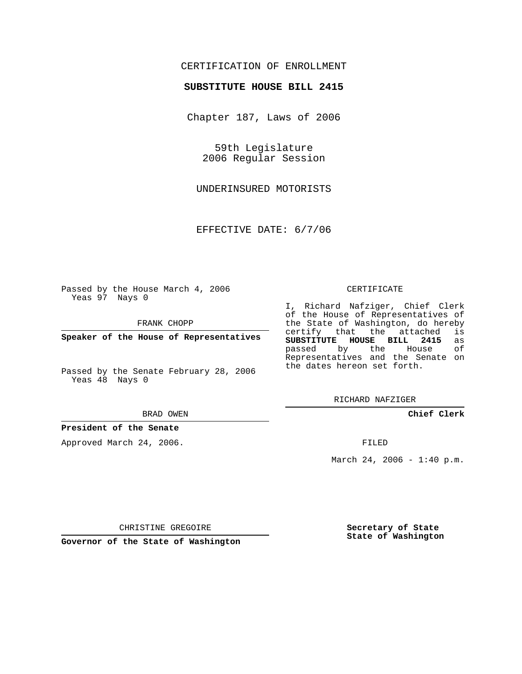## CERTIFICATION OF ENROLLMENT

#### **SUBSTITUTE HOUSE BILL 2415**

Chapter 187, Laws of 2006

59th Legislature 2006 Regular Session

UNDERINSURED MOTORISTS

EFFECTIVE DATE: 6/7/06

Passed by the House March 4, 2006 Yeas 97 Nays 0

FRANK CHOPP

**Speaker of the House of Representatives**

Passed by the Senate February 28, 2006 Yeas 48 Nays 0

BRAD OWEN

### **President of the Senate**

Approved March 24, 2006.

CERTIFICATE

I, Richard Nafziger, Chief Clerk of the House of Representatives of the State of Washington, do hereby<br>certify that the attached is certify that the attached **SUBSTITUTE HOUSE BILL 2415** as passed by the Representatives and the Senate on the dates hereon set forth.

RICHARD NAFZIGER

**Chief Clerk**

FILED

March 24, 2006 -  $1:40$  p.m.

CHRISTINE GREGOIRE

**Governor of the State of Washington**

**Secretary of State State of Washington**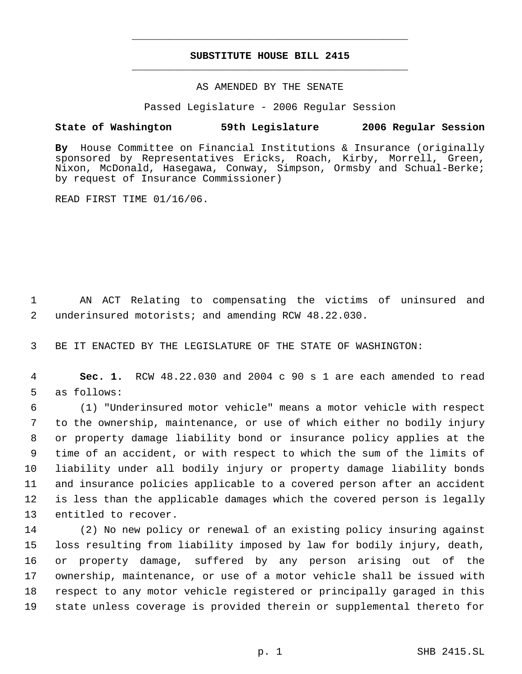# **SUBSTITUTE HOUSE BILL 2415** \_\_\_\_\_\_\_\_\_\_\_\_\_\_\_\_\_\_\_\_\_\_\_\_\_\_\_\_\_\_\_\_\_\_\_\_\_\_\_\_\_\_\_\_\_

\_\_\_\_\_\_\_\_\_\_\_\_\_\_\_\_\_\_\_\_\_\_\_\_\_\_\_\_\_\_\_\_\_\_\_\_\_\_\_\_\_\_\_\_\_

#### AS AMENDED BY THE SENATE

Passed Legislature - 2006 Regular Session

## **State of Washington 59th Legislature 2006 Regular Session**

**By** House Committee on Financial Institutions & Insurance (originally sponsored by Representatives Ericks, Roach, Kirby, Morrell, Green, Nixon, McDonald, Hasegawa, Conway, Simpson, Ormsby and Schual-Berke; by request of Insurance Commissioner)

READ FIRST TIME 01/16/06.

 AN ACT Relating to compensating the victims of uninsured and underinsured motorists; and amending RCW 48.22.030.

BE IT ENACTED BY THE LEGISLATURE OF THE STATE OF WASHINGTON:

 **Sec. 1.** RCW 48.22.030 and 2004 c 90 s 1 are each amended to read as follows:

 (1) "Underinsured motor vehicle" means a motor vehicle with respect to the ownership, maintenance, or use of which either no bodily injury or property damage liability bond or insurance policy applies at the time of an accident, or with respect to which the sum of the limits of liability under all bodily injury or property damage liability bonds and insurance policies applicable to a covered person after an accident is less than the applicable damages which the covered person is legally entitled to recover.

 (2) No new policy or renewal of an existing policy insuring against loss resulting from liability imposed by law for bodily injury, death, or property damage, suffered by any person arising out of the ownership, maintenance, or use of a motor vehicle shall be issued with respect to any motor vehicle registered or principally garaged in this state unless coverage is provided therein or supplemental thereto for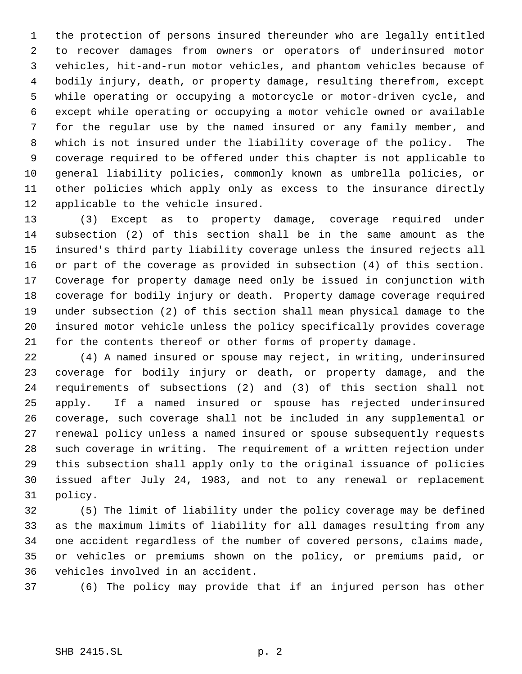the protection of persons insured thereunder who are legally entitled to recover damages from owners or operators of underinsured motor vehicles, hit-and-run motor vehicles, and phantom vehicles because of bodily injury, death, or property damage, resulting therefrom, except while operating or occupying a motorcycle or motor-driven cycle, and except while operating or occupying a motor vehicle owned or available for the regular use by the named insured or any family member, and which is not insured under the liability coverage of the policy. The coverage required to be offered under this chapter is not applicable to general liability policies, commonly known as umbrella policies, or other policies which apply only as excess to the insurance directly applicable to the vehicle insured.

 (3) Except as to property damage, coverage required under subsection (2) of this section shall be in the same amount as the insured's third party liability coverage unless the insured rejects all or part of the coverage as provided in subsection (4) of this section. Coverage for property damage need only be issued in conjunction with coverage for bodily injury or death. Property damage coverage required under subsection (2) of this section shall mean physical damage to the insured motor vehicle unless the policy specifically provides coverage for the contents thereof or other forms of property damage.

 (4) A named insured or spouse may reject, in writing, underinsured coverage for bodily injury or death, or property damage, and the requirements of subsections (2) and (3) of this section shall not apply. If a named insured or spouse has rejected underinsured coverage, such coverage shall not be included in any supplemental or renewal policy unless a named insured or spouse subsequently requests such coverage in writing. The requirement of a written rejection under this subsection shall apply only to the original issuance of policies issued after July 24, 1983, and not to any renewal or replacement policy.

 (5) The limit of liability under the policy coverage may be defined as the maximum limits of liability for all damages resulting from any one accident regardless of the number of covered persons, claims made, or vehicles or premiums shown on the policy, or premiums paid, or vehicles involved in an accident.

(6) The policy may provide that if an injured person has other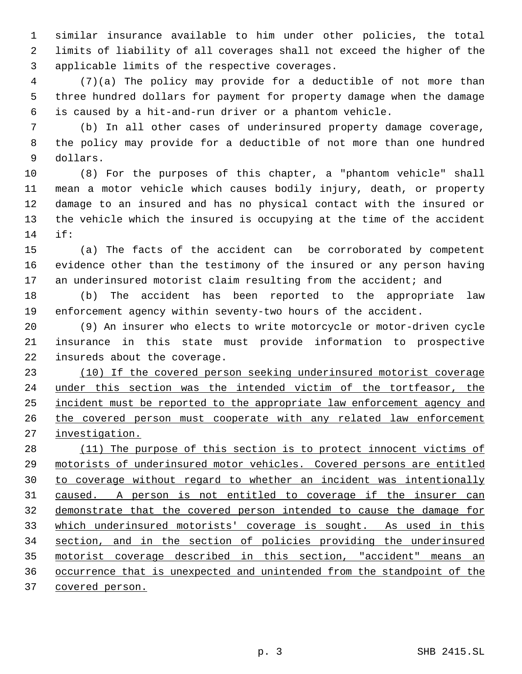similar insurance available to him under other policies, the total limits of liability of all coverages shall not exceed the higher of the applicable limits of the respective coverages.

 (7)(a) The policy may provide for a deductible of not more than three hundred dollars for payment for property damage when the damage is caused by a hit-and-run driver or a phantom vehicle.

 (b) In all other cases of underinsured property damage coverage, the policy may provide for a deductible of not more than one hundred dollars.

 (8) For the purposes of this chapter, a "phantom vehicle" shall mean a motor vehicle which causes bodily injury, death, or property damage to an insured and has no physical contact with the insured or the vehicle which the insured is occupying at the time of the accident if:

 (a) The facts of the accident can be corroborated by competent evidence other than the testimony of the insured or any person having 17 an underinsured motorist claim resulting from the accident; and

 (b) The accident has been reported to the appropriate law enforcement agency within seventy-two hours of the accident.

 (9) An insurer who elects to write motorcycle or motor-driven cycle insurance in this state must provide information to prospective insureds about the coverage.

 (10) If the covered person seeking underinsured motorist coverage 24 under this section was the intended victim of the tortfeasor, the 25 incident must be reported to the appropriate law enforcement agency and 26 the covered person must cooperate with any related law enforcement investigation.

28 (11) The purpose of this section is to protect innocent victims of motorists of underinsured motor vehicles. Covered persons are entitled to coverage without regard to whether an incident was intentionally caused. A person is not entitled to coverage if the insurer can demonstrate that the covered person intended to cause the damage for which underinsured motorists' coverage is sought. As used in this section, and in the section of policies providing the underinsured motorist coverage described in this section, "accident" means an occurrence that is unexpected and unintended from the standpoint of the covered person.